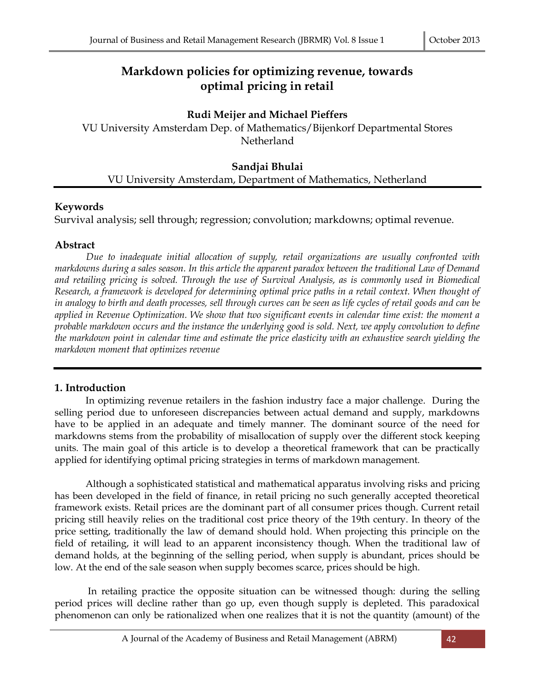# **Markdown policies for optimizing revenue, towards optimal pricing in retail**

## **Rudi Meijer and Michael Pieffers**

VU University Amsterdam Dep. of Mathematics/Bijenkorf Departmental Stores Netherland

## **Sandjai Bhulai** VU University Amsterdam, Department of Mathematics, Netherland

## **Keywords**

Survival analysis; sell through; regression; convolution; markdowns; optimal revenue.

## **Abstract**

*Due to inadequate initial allocation of supply, retail organizations are usually confronted with markdowns during a sales season. In this article the apparent paradox between the traditional Law of Demand and retailing pricing is solved. Through the use of Survival Analysis, as is commonly used in Biomedical Research, a framework is developed for determining optimal price paths in a retail context. When thought of in analogy to birth and death processes, sell through curves can be seen as life cycles of retail goods and can be applied in Revenue Optimization. We show that two significant events in calendar time exist: the moment a probable markdown occurs and the instance the underlying good is sold. Next, we apply convolution to define the markdown point in calendar time and estimate the price elasticity with an exhaustive search yielding the markdown moment that optimizes revenue*

## **1. Introduction**

In optimizing revenue retailers in the fashion industry face a major challenge. During the selling period due to unforeseen discrepancies between actual demand and supply, markdowns have to be applied in an adequate and timely manner. The dominant source of the need for markdowns stems from the probability of misallocation of supply over the different stock keeping units. The main goal of this article is to develop a theoretical framework that can be practically applied for identifying optimal pricing strategies in terms of markdown management.

Although a sophisticated statistical and mathematical apparatus involving risks and pricing has been developed in the field of finance, in retail pricing no such generally accepted theoretical framework exists. Retail prices are the dominant part of all consumer prices though. Current retail pricing still heavily relies on the traditional cost price theory of the 19th century. In theory of the price setting, traditionally the law of demand should hold. When projecting this principle on the field of retailing, it will lead to an apparent inconsistency though. When the traditional law of demand holds, at the beginning of the selling period, when supply is abundant, prices should be low. At the end of the sale season when supply becomes scarce, prices should be high.

In retailing practice the opposite situation can be witnessed though: during the selling period prices will decline rather than go up, even though supply is depleted. This paradoxical phenomenon can only be rationalized when one realizes that it is not the quantity (amount) of the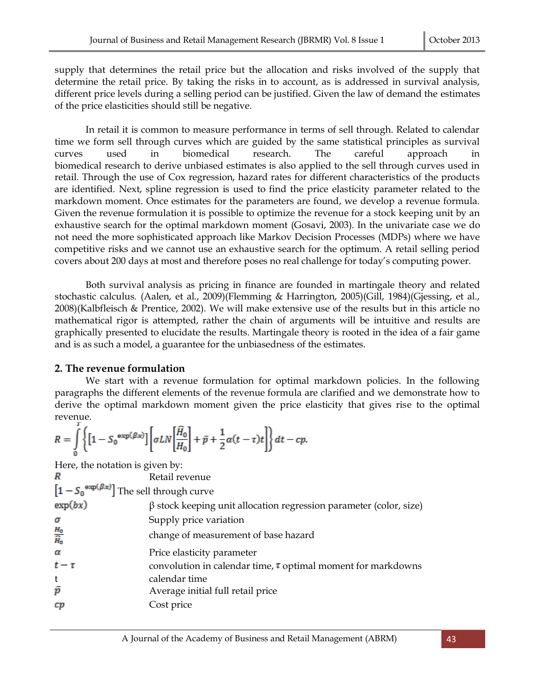supply that determines the retail price but the allocation and risks involved of the supply that determine the retail price. By taking the risks in to account, as is addressed in survival analysis, different price levels during a selling period can be justified. Given the law of demand the estimates of the price elasticities should still be negative.

In retail it is common to measure performance in terms of sell through. Related to calendar time we form sell through curves which are guided by the same statistical principles as survival curves used in biomedical research. The careful approach in biomedical research to derive unbiased estimates is also applied to the sell through curves used in retail. Through the use of Cox regression, hazard rates for different characteristics of the products are identified. Next, spline regression is used to find the price elasticity parameter related to the markdown moment. Once estimates for the parameters are found, we develop a revenue formula. Given the revenue formulation it is possible to optimize the revenue for a stock keeping unit by an exhaustive search for the optimal markdown moment (Gosavi, 2003). In the univariate case we do not need the more sophisticated approach like Markov Decision Processes (MDPs) where we have competitive risks and we cannot use an exhaustive search for the optimum. A retail selling period covers about 200 days at most and therefore poses no real challenge for today's computing power.

Both survival analysis as pricing in finance are founded in martingale theory and related stochastic calculus*.* (Aalen, et al., 2009)(Flemming & Harrington, 2005)(Gill, 1984)(Gjessing, et al., 2008)(Kalbfleisch & Prentice, 2002)*.* We will make extensive use of the results but in this article no mathematical rigor is attempted, rather the chain of arguments will be intuitive and results are graphically presented to elucidate the results. Martingale theory is rooted in the idea of a fair game and is as such a model, a guarantee for the unbiasedness of the estimates.

## **2. The revenue formulation**

We start with a revenue formulation for optimal markdown policies. In the following paragraphs the different elements of the revenue formula are clarified and we demonstrate how to derive the optimal markdown moment given the price elasticity that gives rise to the optimal revenue.

$$
R = \int\limits_0^t \left\{ \left[ 1 - S_0^{\exp(\beta x)} \right] \left[ \sigma L N \left[ \frac{\widehat{H}_0}{H_0} \right] + \bar{p} + \frac{1}{2} \alpha (t - \tau) t \right] \right\} dt - c p.
$$

Here, the notation is given by:

| R                                                             | Retail revenue                                                           |
|---------------------------------------------------------------|--------------------------------------------------------------------------|
| $\left[1 - S_0^{\exp(\beta x)}\right]$ The sell through curve |                                                                          |
| exp(bx)                                                       | $\beta$ stock keeping unit allocation regression parameter (color, size) |
| σ                                                             | Supply price variation                                                   |
| $\frac{H_0}{\widehat{H}_0}$                                   | change of measurement of base hazard                                     |
| α                                                             | Price elasticity parameter                                               |
| $t-\tau$                                                      | convolution in calendar time, $\tau$ optimal moment for markdowns        |
| t                                                             | calendar time                                                            |
| $\bar{p}$                                                     | Average initial full retail price                                        |
| cр                                                            | Cost price                                                               |
|                                                               |                                                                          |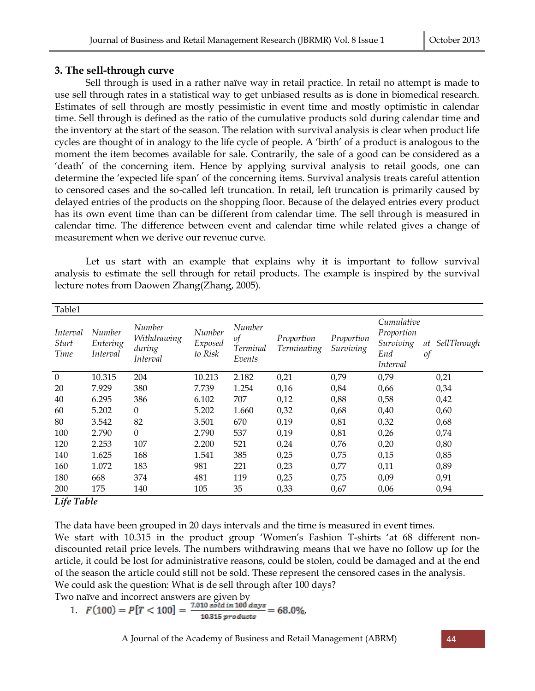## **3. The sell-through curve**

Sell through is used in a rather naïve way in retail practice. In retail no attempt is made to use sell through rates in a statistical way to get unbiased results as is done in biomedical research. Estimates of sell through are mostly pessimistic in event time and mostly optimistic in calendar time. Sell through is defined as the ratio of the cumulative products sold during calendar time and the inventory at the start of the season. The relation with survival analysis is clear when product life cycles are thought of in analogy to the life cycle of people. A 'birth' of a product is analogous to the moment the item becomes available for sale. Contrarily, the sale of a good can be considered as a 'death' of the concerning item. Hence by applying survival analysis to retail goods, one can determine the 'expected life span' of the concerning items. Survival analysis treats careful attention to censored cases and the so-called left truncation. In retail, left truncation is primarily caused by delayed entries of the products on the shopping floor. Because of the delayed entries every product has its own event time than can be different from calendar time. The sell through is measured in calendar time. The difference between event and calendar time while related gives a change of measurement when we derive our revenue curve.

Let us start with an example that explains why it is important to follow survival analysis to estimate the sell through for retail products. The example is inspired by the survival lecture notes from Daowen Zhang(Zhang, 2005).

| Table1                                  |                                |                                             |                              |                                    |                           |                         |                                                          |                                 |
|-----------------------------------------|--------------------------------|---------------------------------------------|------------------------------|------------------------------------|---------------------------|-------------------------|----------------------------------------------------------|---------------------------------|
| Interval<br><i>Start</i><br><b>Time</b> | Number<br>Entering<br>Interval | Number<br>Withdrawing<br>during<br>Interval | Number<br>Exposed<br>to Risk | Number<br>οf<br>Terminal<br>Events | Proportion<br>Terminating | Proportion<br>Surviving | Cumulative<br>Proportion<br>Surviving<br>End<br>Interval | SellThrough<br>at<br>$\sigma f$ |
| $\mathbf{0}$                            | 10.315                         | 204                                         | 10.213                       | 2.182                              | 0,21                      | 0,79                    | 0,79                                                     | 0,21                            |
| 20                                      | 7.929                          | 380                                         | 7.739                        | 1.254                              | 0,16                      | 0,84                    | 0,66                                                     | 0,34                            |
| 40                                      | 6.295                          | 386                                         | 6.102                        | 707                                | 0,12                      | 0,88                    | 0,58                                                     | 0,42                            |
| 60                                      | 5.202                          | $\boldsymbol{0}$                            | 5.202                        | 1.660                              | 0,32                      | 0,68                    | 0,40                                                     | 0,60                            |
| 80                                      | 3.542                          | 82                                          | 3.501                        | 670                                | 0,19                      | 0,81                    | 0,32                                                     | 0,68                            |
| 100                                     | 2.790                          | $\boldsymbol{0}$                            | 2.790                        | 537                                | 0,19                      | 0,81                    | 0,26                                                     | 0,74                            |
| 120                                     | 2.253                          | 107                                         | 2.200                        | 521                                | 0,24                      | 0,76                    | 0,20                                                     | 0,80                            |
| 140                                     | 1.625                          | 168                                         | 1.541                        | 385                                | 0,25                      | 0,75                    | 0,15                                                     | 0,85                            |
| 160                                     | 1.072                          | 183                                         | 981                          | 221                                | 0,23                      | 0,77                    | 0,11                                                     | 0,89                            |
| 180                                     | 668                            | 374                                         | 481                          | 119                                | 0,25                      | 0,75                    | 0,09                                                     | 0,91                            |
| 200<br><b>TIA THAT</b>                  | 175                            | 140                                         | 105                          | 35                                 | 0,33                      | 0,67                    | 0,06                                                     | 0,94                            |

### *Life Table*

The data have been grouped in 20 days intervals and the time is measured in event times.

We start with 10.315 in the product group 'Women's Fashion T-shirts 'at 68 different nondiscounted retail price levels. The numbers withdrawing means that we have no follow up for the article, it could be lost for administrative reasons, could be stolen, could be damaged and at the end of the season the article could still not be sold. These represent the censored cases in the analysis. We could ask the question: What is de sell through after 100 days?

Two naïve and incorrect answers are given by

1. 
$$
F(100) = P[T < 100] = \frac{7.010 \text{ solid in } 100 \text{ days}}{10.315 \text{ products}} = 68.0\%
$$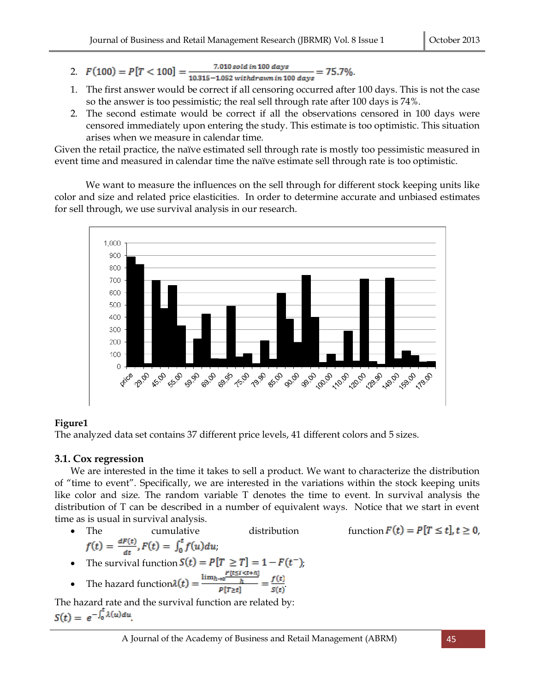- 2.  $F(100) = P[T < 100] = \frac{7.010 \, \text{solid in 100 days}}{10.315 1.052 \, \text{with} \text{drawn in 100 days}} = 75.7\%$ .
- 1. The first answer would be correct if all censoring occurred after 100 days. This is not the case so the answer is too pessimistic; the real sell through rate after 100 days is 74%.
- 2. The second estimate would be correct if all the observations censored in 100 days were censored immediately upon entering the study. This estimate is too optimistic. This situation arises when we measure in calendar time.

Given the retail practice, the naïve estimated sell through rate is mostly too pessimistic measured in event time and measured in calendar time the naïve estimate sell through rate is too optimistic.

We want to measure the influences on the sell through for different stock keeping units like color and size and related price elasticities. In order to determine accurate and unbiased estimates for sell through, we use survival analysis in our research.



## **Figure1**

The analyzed data set contains 37 different price levels, 41 different colors and 5 sizes.

## **3.1. Cox regression**

We are interested in the time it takes to sell a product. We want to characterize the distribution of "time to event". Specifically, we are interested in the variations within the stock keeping units like color and size. The random variable T denotes the time to event. In survival analysis the distribution of T can be described in a number of equivalent ways. Notice that we start in event time as is usual in survival analysis.

• The cumulative distribution function  $F(t) = P[T \le t], t \ge 0$ ,  $f(t) = \frac{dF(t)}{dt}$ ,  $F(t) = \int_0^t f(u) du$ ;

function 
$$
F(t) = P[T \le t]
$$
,  $t \ge 0$ ,

• The survival function 
$$
S(t) = P[T \geq T] = 1 - F(t^{-})
$$
,

• The hazard function 
$$
\lambda(t) = \frac{\lim_{h \to 0} \frac{1}{h}}{p[T \ge t]} = \frac{f(t)}{s(t)}
$$

The hazard rate and the survival function are related by:<br> $S(t) = e^{-\int_0^t \lambda(u) du}$ .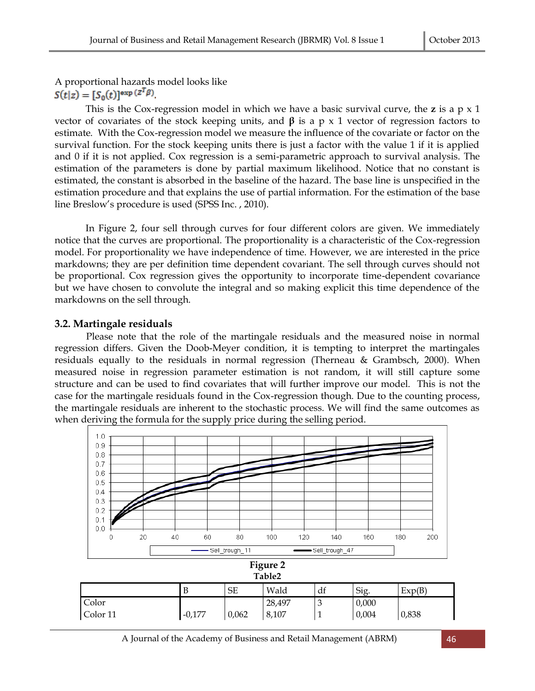A proportional hazards model looks like  $S(t|z) = [S_0(t)]^{\exp{(z^T\beta)}}$ 

This is the Cox-regression model in which we have a basic survival curve, the **z** is a p x 1 vector of covariates of the stock keeping units, and **β** is a p x 1 vector of regression factors to estimate. With the Cox-regression model we measure the influence of the covariate or factor on the survival function. For the stock keeping units there is just a factor with the value 1 if it is applied and 0 if it is not applied. Cox regression is a semi-parametric approach to survival analysis. The estimation of the parameters is done by partial maximum likelihood. Notice that no constant is estimated, the constant is absorbed in the baseline of the hazard. The base line is unspecified in the estimation procedure and that explains the use of partial information. For the estimation of the base line Breslow's procedure is used (SPSS Inc. , 2010).

In Figure 2, four sell through curves for four different colors are given. We immediately notice that the curves are proportional. The proportionality is a characteristic of the Cox-regression model. For proportionality we have independence of time. However, we are interested in the price markdowns; they are per definition time dependent covariant. The sell through curves should not be proportional. Cox regression gives the opportunity to incorporate time-dependent covariance but we have chosen to convolute the integral and so making explicit this time dependence of the markdowns on the sell through.

#### **3.2. Martingale residuals**

Please note that the role of the martingale residuals and the measured noise in normal regression differs. Given the Doob-Meyer condition, it is tempting to interpret the martingales residuals equally to the residuals in normal regression (Therneau & Grambsch, 2000). When measured noise in regression parameter estimation is not random, it will still capture some structure and can be used to find covariates that will further improve our model. This is not the case for the martingale residuals found in the Cox-regression though. Due to the counting process, the martingale residuals are inherent to the stochastic process. We will find the same outcomes as when deriving the formula for the supply price during the selling period.

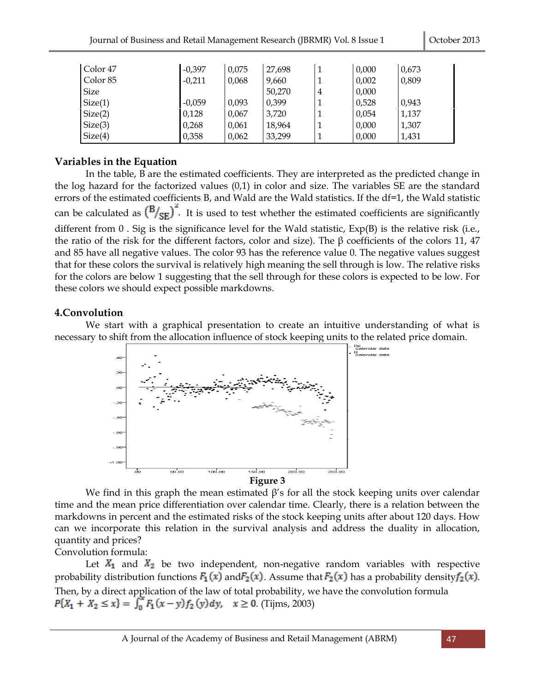| Color <sub>47</sub> | $-0,397$ | 0,075 | 27,698 |   | 0,000 | 0,673 |
|---------------------|----------|-------|--------|---|-------|-------|
| Color <sub>85</sub> | $-0,211$ | 0,068 | 9,660  |   | 0,002 | 0,809 |
| <b>Size</b>         |          |       | 50,270 | 4 | 0,000 |       |
| Size(1)             | $-0,059$ | 0,093 | 0,399  |   | 0,528 | 0,943 |
| Size(2)             | 0,128    | 0,067 | 3,720  |   | 0,054 | 1,137 |
| Size(3)             | 0,268    | 0,061 | 18,964 |   | 0,000 | 1,307 |
| Size(4)             | 0,358    | 0,062 | 33,299 |   | 0,000 | 1,431 |

## **Variables in the Equation**

In the table, B are the estimated coefficients. They are interpreted as the predicted change in the log hazard for the factorized values (0,1) in color and size. The variables SE are the standard errors of the estimated coefficients B, and Wald are the Wald statistics. If the df=1, the Wald statistic can be calculated as  $\left(\frac{B}{SE}\right)^2$ . It is used to test whether the estimated coefficients are significantly different from 0. Sig is the significance level for the Wald statistic, Exp(B) is the relative risk (i.e., the ratio of the risk for the different factors, color and size). The β coefficients of the colors 11, 47 and 85 have all negative values. The color 93 has the reference value 0. The negative values suggest that for these colors the survival is relatively high meaning the sell through is low. The relative risks for the colors are below 1 suggesting that the sell through for these colors is expected to be low. For these colors we should expect possible markdowns.

## **4.Convolution**

We start with a graphical presentation to create an intuitive understanding of what is necessary to shift from the allocation influence of stock keeping units to the related price domain.



We find in this graph the mean estimated  $\beta$ 's for all the stock keeping units over calendar time and the mean price differentiation over calendar time. Clearly, there is a relation between the markdowns in percent and the estimated risks of the stock keeping units after about 120 days. How can we incorporate this relation in the survival analysis and address the duality in allocation, quantity and prices?

Convolution formula:

Let  $X_1$  and  $X_2$  be two independent, non-negative random variables with respective probability distribution functions  $F_1(x)$  and  $F_2(x)$ . Assume that  $F_2(x)$  has a probability density  $f_2(x)$ . Then, by a direct application of the law of total probability, we have the convolution formula  $P{X_1 + X_2 \le x} = \int_0^x F_1(x - y) f_2(y) dy$ ,  $x \ge 0$ . (Tijms, 2003)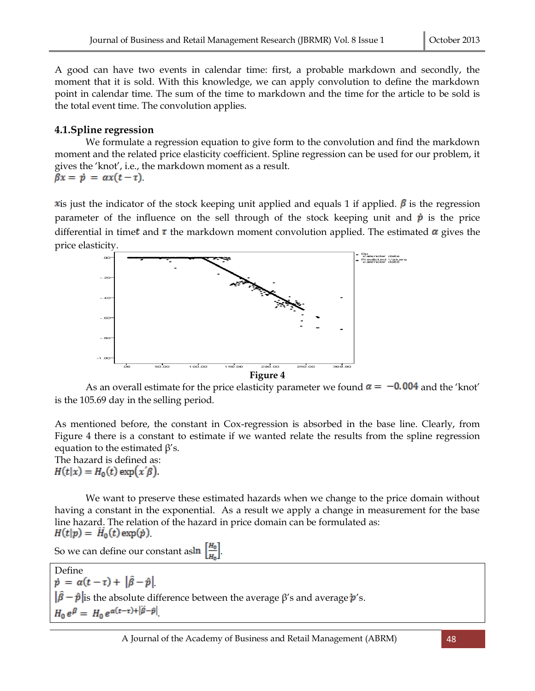A good can have two events in calendar time: first, a probable markdown and secondly, the moment that it is sold. With this knowledge, we can apply convolution to define the markdown point in calendar time. The sum of the time to markdown and the time for the article to be sold is the total event time. The convolution applies.

## **4.1.Spline regression**

We formulate a regression equation to give form to the convolution and find the markdown moment and the related price elasticity coefficient. Spline regression can be used for our problem, it gives the 'knot', i.e., the markdown moment as a result.  $\beta x = p = \alpha x(t-\tau).$ 

x is just the indicator of the stock keeping unit applied and equals 1 if applied.  $\beta$  is the regression parameter of the influence on the sell through of the stock keeping unit and  $\dot{p}$  is the price differential in time t and  $\tau$  the markdown moment convolution applied. The estimated  $\alpha$  gives the price elasticity.



As an overall estimate for the price elasticity parameter we found  $\alpha = -0.004$  and the 'knot' is the 105.69 day in the selling period.

As mentioned before, the constant in Cox-regression is absorbed in the base line. Clearly, from Figure 4 there is a constant to estimate if we wanted relate the results from the spline regression equation to the estimated  $\beta$ 's.

The hazard is defined as:  $H(t|x) = H_0(t) \exp(x'\beta).$ 

We want to preserve these estimated hazards when we change to the price domain without having a constant in the exponential. As a result we apply a change in measurement for the base line hazard. The relation of the hazard in price domain can be formulated as:  $H(t|p) = H_0(t) \exp(\dot{p}).$ 

So we can define our constant as  $\ln \left| \frac{H_0}{H} \right|$ .

Define  $\dot{p} = \alpha(t-\tau) + |\hat{\beta} - \hat{p}|$  $\|\hat{\beta} - \hat{p}\|$  is the absolute difference between the average  $\beta$ 's and average  $\dot{p}$ 's.  $H_0 e^{\beta} = H_0 e^{\alpha(t-\tau)+|\beta-\hat{p}|}$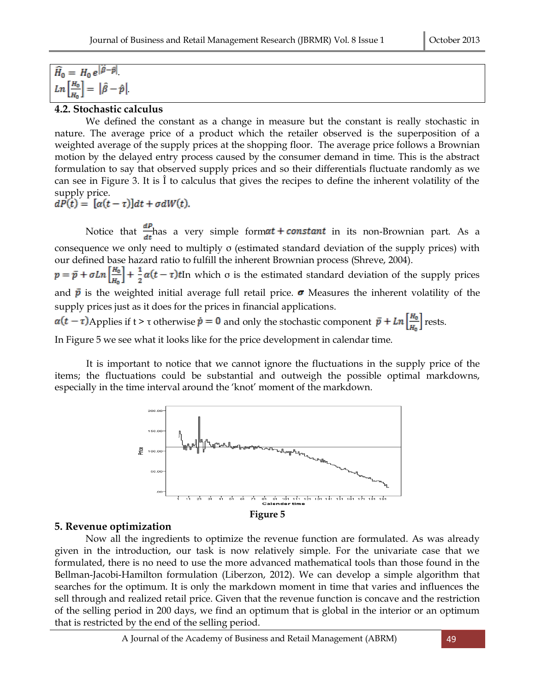$\widehat{H}_0 = H_0 e^{|\vec{\beta} - \hat{p}|}.$  $Ln\left[\frac{H_0}{u}\right] = \left|\hat{\beta} - \hat{p}\right|$ 

#### **4.2. Stochastic calculus**

We defined the constant as a change in measure but the constant is really stochastic in nature. The average price of a product which the retailer observed is the superposition of a weighted average of the supply prices at the shopping floor. The average price follows a Brownian motion by the delayed entry process caused by the consumer demand in time. This is the abstract formulation to say that observed supply prices and so their differentials fluctuate randomly as we can see in Figure 3. It is Î to calculus that gives the recipes to define the inherent volatility of the supply price.<br>  $dP(t) = [\alpha(t - \tau)]dt + \sigma dW(t).$ 

Notice that  $\frac{dP}{dt}$  has a very simple form  $at + constant$  in its non-Brownian part. As a consequence we only need to multiply σ (estimated standard deviation of the supply prices) with our defined base hazard ratio to fulfill the inherent Brownian process (Shreve, 2004).  $p = \bar{p} + \sigma Ln\left(\frac{H_0}{H_0}\right) + \frac{1}{2}\alpha(t-\tau)t$  In which  $\sigma$  is the estimated standard deviation of the supply prices and  $\bar{p}$  is the weighted initial average full retail price.  $\sigma$  Measures the inherent volatility of the supply prices just as it does for the prices in financial applications.  $\alpha(t-\tau)$ Applies if  $t > \tau$  otherwise  $\dot{p} = 0$  and only the stochastic component  $\bar{p} + Ln\left[\frac{H_0}{\mu}\right]$  rests.

In Figure 5 we see what it looks like for the price development in calendar time.

It is important to notice that we cannot ignore the fluctuations in the supply price of the items; the fluctuations could be substantial and outweigh the possible optimal markdowns, especially in the time interval around the 'knot' moment of the markdown.



### **5. Revenue optimization**

Now all the ingredients to optimize the revenue function are formulated. As was already given in the introduction, our task is now relatively simple. For the univariate case that we formulated, there is no need to use the more advanced mathematical tools than those found in the Bellman-Jacobi-Hamilton formulation (Liberzon, 2012). We can develop a simple algorithm that searches for the optimum. It is only the markdown moment in time that varies and influences the sell through and realized retail price. Given that the revenue function is concave and the restriction of the selling period in 200 days, we find an optimum that is global in the interior or an optimum that is restricted by the end of the selling period.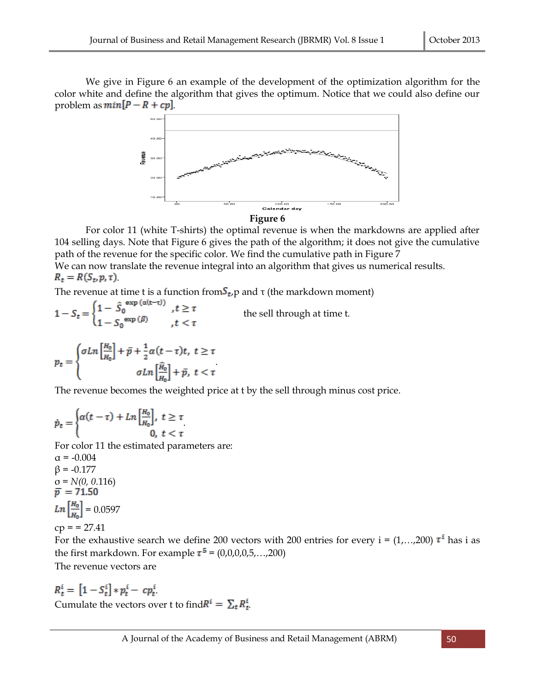We give in Figure 6 an example of the development of the optimization algorithm for the color white and define the algorithm that gives the optimum. Notice that we could also define our problem as  $min[P - R + cp]$ .



For color 11 (white T-shirts) the optimal revenue is when the markdowns are applied after 104 selling days. Note that Figure 6 gives the path of the algorithm; it does not give the cumulative path of the revenue for the specific color. We find the cumulative path in Figure 7 We can now translate the revenue integral into an algorithm that gives us numerical results.  $R_t = R(S_t, p, \tau)$ .

The revenue at time t is a function from  $S_t$ ,  $p$  and  $\tau$  (the markdown moment)<br>  $1 - S_t = \begin{cases} 1 - \hat{S}_0^{exp(\alpha(t-\tau))} & , t \geq \tau \\ 1 - S_0^{exp(\beta)} & , t < \tau \end{cases}$  the sell through at time t. the sell through at time t.

$$
p_t = \begin{cases} \sigma L n \left[\frac{H_0}{H_0}\right] + \bar{p} + \frac{1}{2} \alpha (t - \tau) t, \ t \ge \tau \\ \sigma L n \left[\frac{\hat{H}_0}{H_0}\right] + \bar{p}, \ t < \tau \end{cases}
$$

The revenue becomes the weighted price at t by the sell through minus cost price.

$$
\dot{p}_t = \begin{cases} \alpha(t-\tau) + Ln\left[\frac{H_0}{H_0}\right], \ t \ge \tau \\ 0, \ t < \tau \end{cases}
$$

For color 11 the estimated parameters are:

 $\alpha = -0.004$  $β = -0.177$  $\sigma$  = *N*(0, 0.116)  $\bar{p}$  = 71.50  $Ln\left[\frac{H_0}{H_0}\right] = 0.0597$  $cp = 27.41$ 

For the exhaustive search we define 200 vectors with 200 entries for every  $i = (1,...,200) \tau^{i}$  has i as the first markdown. For example  $\tau^5 = (0,0,0,0,5,...,200)$ The revenue vectors are

 $R_t^i = [1 - S_t^i] * p_t^i - c p_t^i$ Cumulate the vectors over t to find  $R^i = \sum_t R^i_t$ .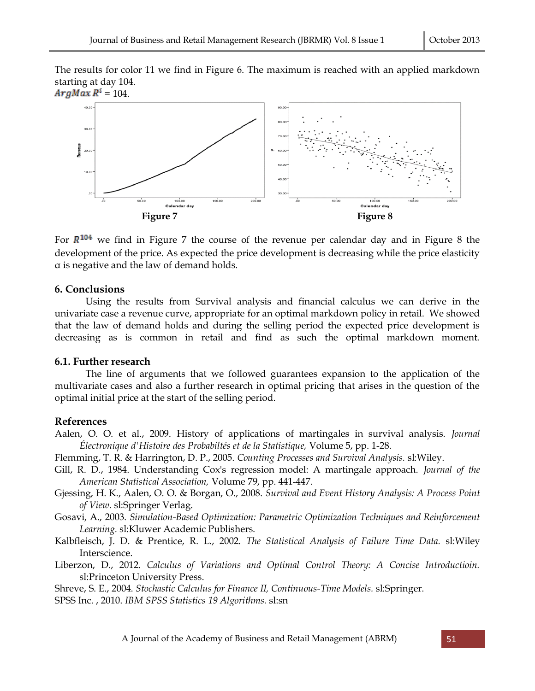The results for color 11 we find in Figure 6. The maximum is reached with an applied markdown starting at day 104.



For  $R^{104}$  we find in Figure 7 the course of the revenue per calendar day and in Figure 8 the development of the price. As expected the price development is decreasing while the price elasticity α is negative and the law of demand holds.

#### **6. Conclusions**

Using the results from Survival analysis and financial calculus we can derive in the univariate case a revenue curve, appropriate for an optimal markdown policy in retail. We showed that the law of demand holds and during the selling period the expected price development is decreasing as is common in retail and find as such the optimal markdown moment.

#### **6.1. Further research**

The line of arguments that we followed guarantees expansion to the application of the multivariate cases and also a further research in optimal pricing that arises in the question of the optimal initial price at the start of the selling period.

### **References**

Aalen, O. O. et al., 2009. History of applications of martingales in survival analysis. *Journal Électronique d'Histoire des Probabiltés et de la Statistique,* Volume 5, pp. 1-28.

Flemming, T. R. & Harrington, D. P., 2005. *Counting Processes and Survival Analysis.* sl:Wiley.

- Gill, R. D., 1984. Understanding Cox's regression model: A martingale approach. *Journal of the American Statistical Association,* Volume 79, pp. 441-447.
- Gjessing, H. K., Aalen, O. O. & Borgan, O., 2008. *Survival and Event History Analysis: A Process Point of View.* sl:Springer Verlag.

Gosavi, A., 2003. *Simulation-Based Optimization: Parametric Optimization Techniques and Reinforcement Learning.* sl:Kluwer Academic Publishers.

Kalbfleisch, J. D. & Prentice, R. L., 2002. *The Statistical Analysis of Failure Time Data.* sl:Wiley Interscience.

Liberzon, D., 2012. *Calculus of Variations and Optimal Control Theory: A Concise Introductioin.*  sl:Princeton University Press.

Shreve, S. E., 2004. *Stochastic Calculus for Finance II, Continuous-Time Models.* sl:Springer.

SPSS Inc. , 2010. *IBM SPSS Statistics 19 Algorithms.* sl:sn